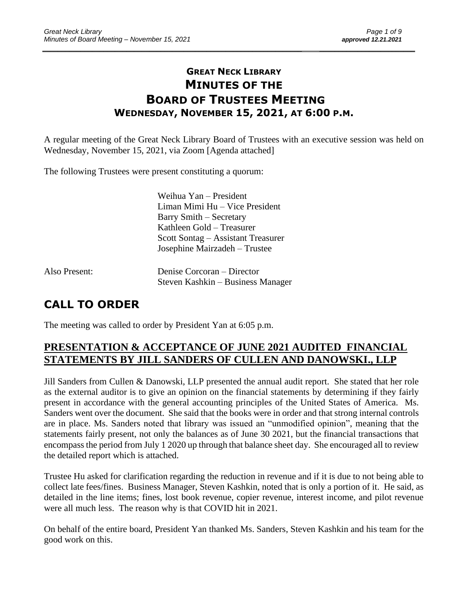## **GREAT NECK LIBRARY MINUTES OF THE BOARD OF TRUSTEES MEETING WEDNESDAY, NOVEMBER 15, 2021, AT 6:00 P.M.**

\_\_\_\_\_\_\_\_\_\_\_\_\_\_\_\_\_\_\_\_\_\_\_\_\_\_\_\_\_\_\_\_\_\_\_\_\_\_\_\_\_\_\_\_\_\_\_\_\_\_\_\_\_\_\_\_\_\_\_\_\_\_\_\_\_\_\_\_ \_\_\_\_\_\_\_\_\_\_\_\_\_\_\_\_\_\_\_\_\_\_\_\_\_

A regular meeting of the Great Neck Library Board of Trustees with an executive session was held on Wednesday, November 15, 2021, via Zoom [Agenda attached]

The following Trustees were present constituting a quorum:

Weihua Yan – President Liman Mimi Hu – Vice President Barry Smith – Secretary Kathleen Gold – Treasurer Scott Sontag – Assistant Treasurer Josephine Mairzadeh – Trustee

Also Present: Denise Corcoran – Director Steven Kashkin – Business Manager

# **CALL TO ORDER**

The meeting was called to order by President Yan at 6:05 p.m.

## **PRESENTATION & ACCEPTANCE OF JUNE 2021 AUDITED FINANCIAL STATEMENTS BY JILL SANDERS OF CULLEN AND DANOWSKI., LLP**

Jill Sanders from Cullen & Danowski, LLP presented the annual audit report. She stated that her role as the external auditor is to give an opinion on the financial statements by determining if they fairly present in accordance with the general accounting principles of the United States of America. Ms. Sanders went over the document. She said that the books were in order and that strong internal controls are in place. Ms. Sanders noted that library was issued an "unmodified opinion", meaning that the statements fairly present, not only the balances as of June 30 2021, but the financial transactions that encompass the period from July 1 2020 up through that balance sheet day. She encouraged all to review the detailed report which is attached.

Trustee Hu asked for clarification regarding the reduction in revenue and if it is due to not being able to collect late fees/fines. Business Manager, Steven Kashkin, noted that is only a portion of it. He said, as detailed in the line items; fines, lost book revenue, copier revenue, interest income, and pilot revenue were all much less. The reason why is that COVID hit in 2021.

On behalf of the entire board, President Yan thanked Ms. Sanders, Steven Kashkin and his team for the good work on this.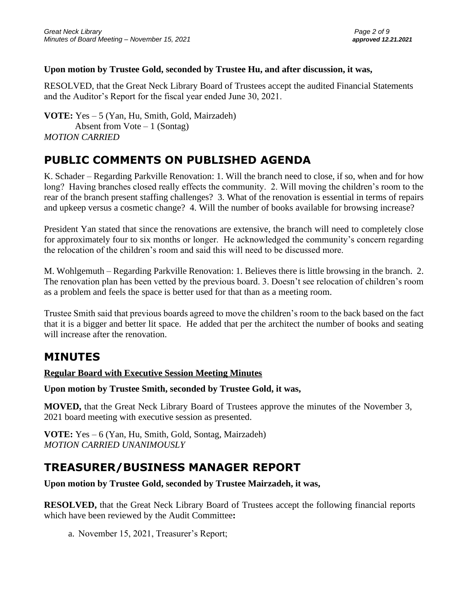### **Upon motion by Trustee Gold, seconded by Trustee Hu, and after discussion, it was,**

RESOLVED, that the Great Neck Library Board of Trustees accept the audited Financial Statements and the Auditor's Report for the fiscal year ended June 30, 2021.

**VOTE:** Yes – 5 (Yan, Hu, Smith, Gold, Mairzadeh) Absent from  $Vote-1$  (Sontag) *MOTION CARRIED*

# **PUBLIC COMMENTS ON PUBLISHED AGENDA**

K. Schader – Regarding Parkville Renovation: 1. Will the branch need to close, if so, when and for how long? Having branches closed really effects the community. 2. Will moving the children's room to the rear of the branch present staffing challenges? 3. What of the renovation is essential in terms of repairs and upkeep versus a cosmetic change? 4. Will the number of books available for browsing increase?

President Yan stated that since the renovations are extensive, the branch will need to completely close for approximately four to six months or longer. He acknowledged the community's concern regarding the relocation of the children's room and said this will need to be discussed more.

M. Wohlgemuth – Regarding Parkville Renovation: 1. Believes there is little browsing in the branch. 2. The renovation plan has been vetted by the previous board. 3. Doesn't see relocation of children's room as a problem and feels the space is better used for that than as a meeting room.

Trustee Smith said that previous boards agreed to move the children's room to the back based on the fact that it is a bigger and better lit space. He added that per the architect the number of books and seating will increase after the renovation.

## **MINUTES**

### **Regular Board with Executive Session Meeting Minutes**

**Upon motion by Trustee Smith, seconded by Trustee Gold, it was,**

**MOVED,** that the Great Neck Library Board of Trustees approve the minutes of the November 3, 2021 board meeting with executive session as presented.

**VOTE:** Yes – 6 (Yan, Hu, Smith, Gold, Sontag, Mairzadeh) *MOTION CARRIED UNANIMOUSLY* 

# **TREASURER/BUSINESS MANAGER REPORT**

**Upon motion by Trustee Gold, seconded by Trustee Mairzadeh, it was,**

**RESOLVED,** that the Great Neck Library Board of Trustees accept the following financial reports which have been reviewed by the Audit Committee**:** 

a. November 15, 2021, Treasurer's Report;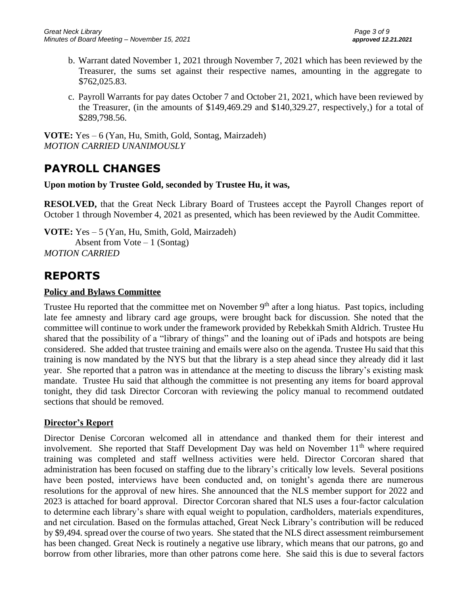- b. Warrant dated November 1, 2021 through November 7, 2021 which has been reviewed by the Treasurer, the sums set against their respective names, amounting in the aggregate to \$762,025.83.
- c. Payroll Warrants for pay dates October 7 and October 21, 2021, which have been reviewed by the Treasurer, (in the amounts of \$149,469.29 and \$140,329.27, respectively,) for a total of \$289,798.56.

**VOTE:** Yes – 6 (Yan, Hu, Smith, Gold, Sontag, Mairzadeh) *MOTION CARRIED UNANIMOUSLY* 

# **PAYROLL CHANGES**

#### **Upon motion by Trustee Gold, seconded by Trustee Hu, it was,**

**RESOLVED,** that the Great Neck Library Board of Trustees accept the Payroll Changes report of October 1 through November 4, 2021 as presented, which has been reviewed by the Audit Committee.

**VOTE:** Yes – 5 (Yan, Hu, Smith, Gold, Mairzadeh) Absent from  $Vote-1$  (Sontag) *MOTION CARRIED*

## **REPORTS**

### **Policy and Bylaws Committee**

Trustee Hu reported that the committee met on November  $9<sup>th</sup>$  after a long hiatus. Past topics, including late fee amnesty and library card age groups, were brought back for discussion. She noted that the committee will continue to work under the framework provided by Rebekkah Smith Aldrich. Trustee Hu shared that the possibility of a "library of things" and the loaning out of iPads and hotspots are being considered. She added that trustee training and emails were also on the agenda. Trustee Hu said that this training is now mandated by the NYS but that the library is a step ahead since they already did it last year. She reported that a patron was in attendance at the meeting to discuss the library's existing mask mandate. Trustee Hu said that although the committee is not presenting any items for board approval tonight, they did task Director Corcoran with reviewing the policy manual to recommend outdated sections that should be removed.

### **Director's Report**

Director Denise Corcoran welcomed all in attendance and thanked them for their interest and involvement. She reported that Staff Development Day was held on November  $11<sup>th</sup>$  where required training was completed and staff wellness activities were held. Director Corcoran shared that administration has been focused on staffing due to the library's critically low levels. Several positions have been posted, interviews have been conducted and, on tonight's agenda there are numerous resolutions for the approval of new hires. She announced that the NLS member support for 2022 and 2023 is attached for board approval. Director Corcoran shared that NLS uses a four-factor calculation to determine each library's share with equal weight to population, cardholders, materials expenditures, and net circulation. Based on the formulas attached, Great Neck Library's contribution will be reduced by \$9,494. spread over the course of two years. She stated that the NLS direct assessment reimbursement has been changed. Great Neck is routinely a negative use library, which means that our patrons, go and borrow from other libraries, more than other patrons come here. She said this is due to several factors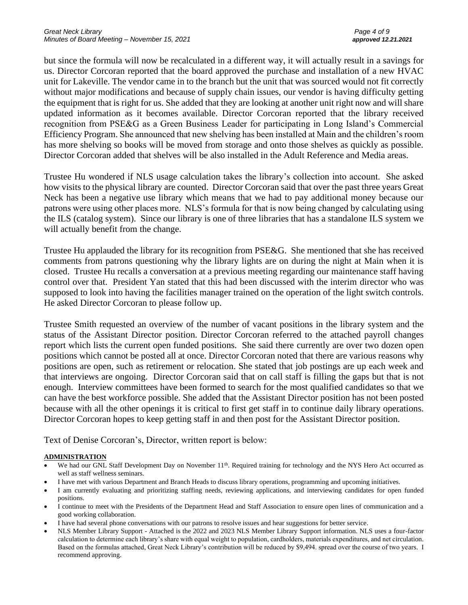but since the formula will now be recalculated in a different way, it will actually result in a savings for us. Director Corcoran reported that the board approved the purchase and installation of a new HVAC unit for Lakeville. The vendor came in to the branch but the unit that was sourced would not fit correctly without major modifications and because of supply chain issues, our vendor is having difficulty getting the equipment that is right for us. She added that they are looking at another unit right now and will share updated information as it becomes available. Director Corcoran reported that the library received recognition from PSE&G as a Green Business Leader for participating in Long Island's Commercial Efficiency Program. She announced that new shelving has been installed at Main and the children's room has more shelving so books will be moved from storage and onto those shelves as quickly as possible. Director Corcoran added that shelves will be also installed in the Adult Reference and Media areas.

Trustee Hu wondered if NLS usage calculation takes the library's collection into account. She asked how visits to the physical library are counted. Director Corcoran said that over the past three years Great Neck has been a negative use library which means that we had to pay additional money because our patrons were using other places more. NLS's formula for that is now being changed by calculating using the ILS (catalog system). Since our library is one of three libraries that has a standalone ILS system we will actually benefit from the change.

Trustee Hu applauded the library for its recognition from PSE&G. She mentioned that she has received comments from patrons questioning why the library lights are on during the night at Main when it is closed. Trustee Hu recalls a conversation at a previous meeting regarding our maintenance staff having control over that. President Yan stated that this had been discussed with the interim director who was supposed to look into having the facilities manager trained on the operation of the light switch controls. He asked Director Corcoran to please follow up.

Trustee Smith requested an overview of the number of vacant positions in the library system and the status of the Assistant Director position. Director Corcoran referred to the attached payroll changes report which lists the current open funded positions. She said there currently are over two dozen open positions which cannot be posted all at once. Director Corcoran noted that there are various reasons why positions are open, such as retirement or relocation. She stated that job postings are up each week and that interviews are ongoing. Director Corcoran said that on call staff is filling the gaps but that is not enough. Interview committees have been formed to search for the most qualified candidates so that we can have the best workforce possible. She added that the Assistant Director position has not been posted because with all the other openings it is critical to first get staff in to continue daily library operations. Director Corcoran hopes to keep getting staff in and then post for the Assistant Director position.

Text of Denise Corcoran's, Director, written report is below:

#### **ADMINISTRATION**

- We had our GNL Staff Development Day on November 11<sup>th</sup>. Required training for technology and the NYS Hero Act occurred as well as staff wellness seminars.
- I have met with various Department and Branch Heads to discuss library operations, programming and upcoming initiatives.
- I am currently evaluating and prioritizing staffing needs, reviewing applications, and interviewing candidates for open funded positions.
- I continue to meet with the Presidents of the Department Head and Staff Association to ensure open lines of communication and a good working collaboration.
- I have had several phone conversations with our patrons to resolve issues and hear suggestions for better service.
- NLS Member Library Support Attached is the 2022 and 2023 NLS Member Library Support information. NLS uses a four-factor calculation to determine each library's share with equal weight to population, cardholders, materials expenditures, and net circulation. Based on the formulas attached, Great Neck Library's contribution will be reduced by \$9,494. spread over the course of two years. I recommend approving.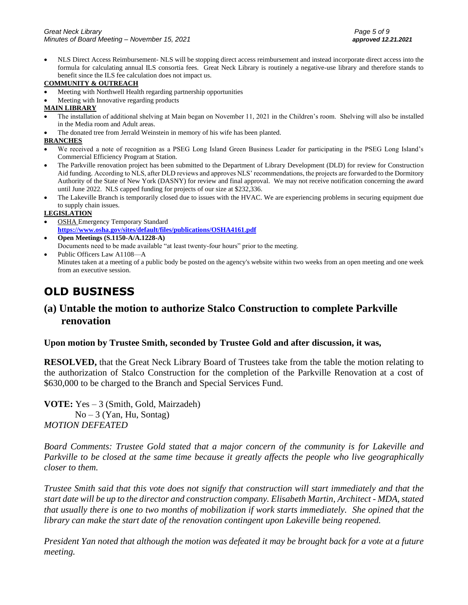• NLS Direct Access Reimbursement- NLS will be stopping direct access reimbursement and instead incorporate direct access into the formula for calculating annual ILS consortia fees. Great Neck Library is routinely a negative-use library and therefore stands to benefit since the ILS fee calculation does not impact us.

#### **COMMUNITY & OUTREACH**

- Meeting with Northwell Health regarding partnership opportunities
- Meeting with Innovative regarding products

#### **MAIN LIBRARY**

- The installation of additional shelving at Main began on November 11, 2021 in the Children's room. Shelving will also be installed in the Media room and Adult areas.
- The donated tree from Jerrald Weinstein in memory of his wife has been planted.

#### **BRANCHES**

- We received a note of recognition as a PSEG Long Island Green Business Leader for participating in the PSEG Long Island's Commercial Efficiency Program at Station.
- The Parkville renovation project has been submitted to the Department of Library Development (DLD) for review for Construction Aid funding. According to NLS, after DLD reviews and approves NLS' recommendations, the projects are forwarded to the Dormitory Authority of the State of New York (DASNY) for review and final approval. We may not receive notification concerning the award until June 2022. NLS capped funding for projects of our size at \$232,336.
- The Lakeville Branch is temporarily closed due to issues with the HVAC. We are experiencing problems in securing equipment due to supply chain issues.

#### **LEGISLATION**

- OSHA Emergency Temporary Standard **<https://www.osha.gov/sites/default/files/publications/OSHA4161.pdf>**
- **Open Meetings (S.1150-A/A.1228-A)** Documents need to be made available "at least twenty-four hours" prior to the meeting.
- Public Officers Law A1108—A Minutes taken at a meeting of a public body be posted on the agency's website within two weeks from an open meeting and one week from an executive session.

## **OLD BUSINESS**

## **(a) Untable the motion to authorize Stalco Construction to complete Parkville renovation**

#### **Upon motion by Trustee Smith, seconded by Trustee Gold and after discussion, it was,**

**RESOLVED,** that the Great Neck Library Board of Trustees take from the table the motion relating to the authorization of Stalco Construction for the completion of the Parkville Renovation at a cost of \$630,000 to be charged to the Branch and Special Services Fund.

**VOTE:** Yes – 3 (Smith, Gold, Mairzadeh)  $No - 3$  (Yan, Hu, Sontag) *MOTION DEFEATED*

*Board Comments: Trustee Gold stated that a major concern of the community is for Lakeville and Parkville to be closed at the same time because it greatly affects the people who live geographically closer to them.*

*Trustee Smith said that this vote does not signify that construction will start immediately and that the start date will be up to the director and construction company. Elisabeth Martin, Architect - MDA, stated that usually there is one to two months of mobilization if work starts immediately. She opined that the library can make the start date of the renovation contingent upon Lakeville being reopened.*

*President Yan noted that although the motion was defeated it may be brought back for a vote at a future meeting.*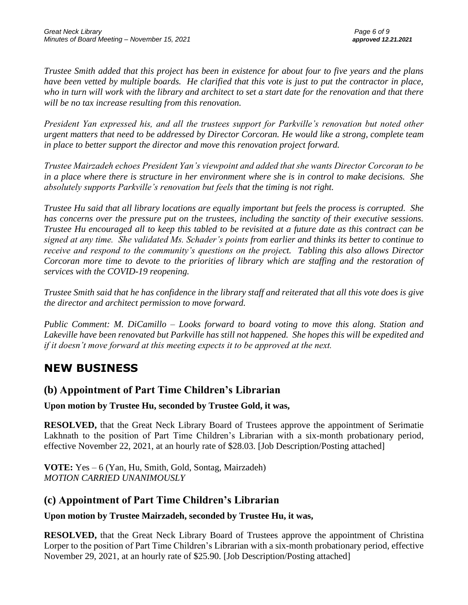*Trustee Smith added that this project has been in existence for about four to five years and the plans have been vetted by multiple boards. He clarified that this vote is just to put the contractor in place, who in turn will work with the library and architect to set a start date for the renovation and that there will be no tax increase resulting from this renovation.*

*President Yan expressed his, and all the trustees support for Parkville's renovation but noted other urgent matters that need to be addressed by Director Corcoran. He would like a strong, complete team in place to better support the director and move this renovation project forward.*

*Trustee Mairzadeh echoes President Yan's viewpoint and added that she wants Director Corcoran to be in a place where there is structure in her environment where she is in control to make decisions. She absolutely supports Parkville's renovation but feels that the timing is not right.*

*Trustee Hu said that all library locations are equally important but feels the process is corrupted. She has concerns over the pressure put on the trustees, including the sanctity of their executive sessions. Trustee Hu encouraged all to keep this tabled to be revisited at a future date as this contract can be signed at any time. She validated Ms. Schader's points from earlier and thinks its better to continue to receive and respond to the community's questions on the project. Tabling this also allows Director Corcoran more time to devote to the priorities of library which are staffing and the restoration of services with the COVID-19 reopening.*

*Trustee Smith said that he has confidence in the library staff and reiterated that all this vote does is give the director and architect permission to move forward.*

*Public Comment: M. DiCamillo – Looks forward to board voting to move this along. Station and Lakeville have been renovated but Parkville has still not happened. She hopes this will be expedited and if it doesn't move forward at this meeting expects it to be approved at the next.*

# **NEW BUSINESS**

## **(b) Appointment of Part Time Children's Librarian**

**Upon motion by Trustee Hu, seconded by Trustee Gold, it was,**

**RESOLVED,** that the Great Neck Library Board of Trustees approve the appointment of Serimatie Lakhnath to the position of Part Time Children's Librarian with a six-month probationary period, effective November 22, 2021, at an hourly rate of \$28.03. [Job Description/Posting attached]

**VOTE:** Yes – 6 (Yan, Hu, Smith, Gold, Sontag, Mairzadeh) *MOTION CARRIED UNANIMOUSLY* 

## **(c) Appointment of Part Time Children's Librarian**

## **Upon motion by Trustee Mairzadeh, seconded by Trustee Hu, it was,**

**RESOLVED,** that the Great Neck Library Board of Trustees approve the appointment of Christina Lorper to the position of Part Time Children's Librarian with a six-month probationary period, effective November 29, 2021, at an hourly rate of \$25.90. [Job Description/Posting attached]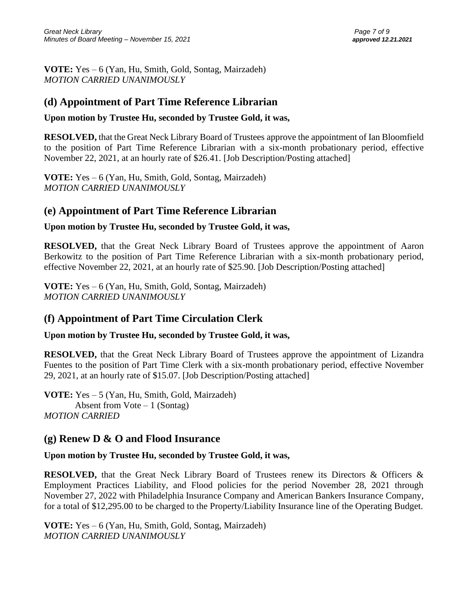**VOTE:** Yes – 6 (Yan, Hu, Smith, Gold, Sontag, Mairzadeh) *MOTION CARRIED UNANIMOUSLY* 

## **(d) Appointment of Part Time Reference Librarian**

### **Upon motion by Trustee Hu, seconded by Trustee Gold, it was,**

**RESOLVED,** that the Great Neck Library Board of Trustees approve the appointment of Ian Bloomfield to the position of Part Time Reference Librarian with a six-month probationary period, effective November 22, 2021, at an hourly rate of \$26.41. [Job Description/Posting attached]

**VOTE:** Yes – 6 (Yan, Hu, Smith, Gold, Sontag, Mairzadeh) *MOTION CARRIED UNANIMOUSLY* 

## **(e) Appointment of Part Time Reference Librarian**

#### **Upon motion by Trustee Hu, seconded by Trustee Gold, it was,**

**RESOLVED,** that the Great Neck Library Board of Trustees approve the appointment of Aaron Berkowitz to the position of Part Time Reference Librarian with a six-month probationary period, effective November 22, 2021, at an hourly rate of \$25.90. [Job Description/Posting attached]

**VOTE:** Yes – 6 (Yan, Hu, Smith, Gold, Sontag, Mairzadeh) *MOTION CARRIED UNANIMOUSLY* 

## **(f) Appointment of Part Time Circulation Clerk**

### **Upon motion by Trustee Hu, seconded by Trustee Gold, it was,**

**RESOLVED,** that the Great Neck Library Board of Trustees approve the appointment of Lizandra Fuentes to the position of Part Time Clerk with a six-month probationary period, effective November 29, 2021, at an hourly rate of \$15.07. [Job Description/Posting attached]

**VOTE:** Yes – 5 (Yan, Hu, Smith, Gold, Mairzadeh) Absent from Vote  $-1$  (Sontag) *MOTION CARRIED*

## **(g) Renew D & O and Flood Insurance**

### **Upon motion by Trustee Hu, seconded by Trustee Gold, it was,**

**RESOLVED,** that the Great Neck Library Board of Trustees renew its Directors & Officers & Employment Practices Liability, and Flood policies for the period November 28, 2021 through November 27, 2022 with Philadelphia Insurance Company and American Bankers Insurance Company, for a total of \$12,295.00 to be charged to the Property/Liability Insurance line of the Operating Budget.

**VOTE:** Yes – 6 (Yan, Hu, Smith, Gold, Sontag, Mairzadeh) *MOTION CARRIED UNANIMOUSLY*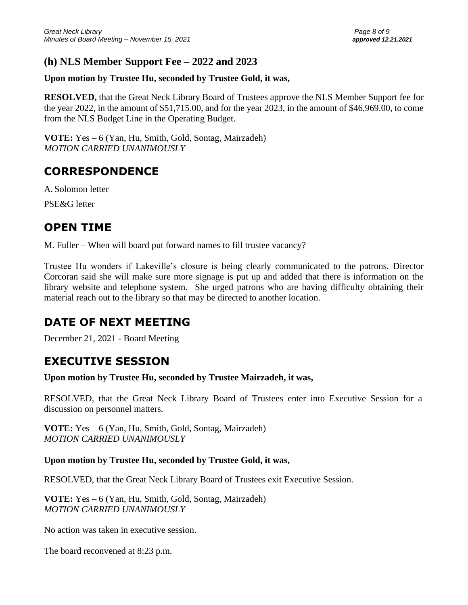## **(h) NLS Member Support Fee – 2022 and 2023**

## **Upon motion by Trustee Hu, seconded by Trustee Gold, it was,**

**RESOLVED,** that the Great Neck Library Board of Trustees approve the NLS Member Support fee for the year 2022, in the amount of \$51,715.00, and for the year 2023, in the amount of \$46,969.00, to come from the NLS Budget Line in the Operating Budget.

**VOTE:** Yes – 6 (Yan, Hu, Smith, Gold, Sontag, Mairzadeh) *MOTION CARRIED UNANIMOUSLY* 

# **CORRESPONDENCE**

A. Solomon letter

PSE&G letter

# **OPEN TIME**

M. Fuller – When will board put forward names to fill trustee vacancy?

Trustee Hu wonders if Lakeville's closure is being clearly communicated to the patrons. Director Corcoran said she will make sure more signage is put up and added that there is information on the library website and telephone system. She urged patrons who are having difficulty obtaining their material reach out to the library so that may be directed to another location.

# **DATE OF NEXT MEETING**

December 21, 2021 - Board Meeting

# **EXECUTIVE SESSION**

**Upon motion by Trustee Hu, seconded by Trustee Mairzadeh, it was,**

RESOLVED, that the Great Neck Library Board of Trustees enter into Executive Session for a discussion on personnel matters.

**VOTE:** Yes – 6 (Yan, Hu, Smith, Gold, Sontag, Mairzadeh) *MOTION CARRIED UNANIMOUSLY* 

### **Upon motion by Trustee Hu, seconded by Trustee Gold, it was,**

RESOLVED, that the Great Neck Library Board of Trustees exit Executive Session.

**VOTE:** Yes – 6 (Yan, Hu, Smith, Gold, Sontag, Mairzadeh) *MOTION CARRIED UNANIMOUSLY*

No action was taken in executive session.

The board reconvened at 8:23 p.m.